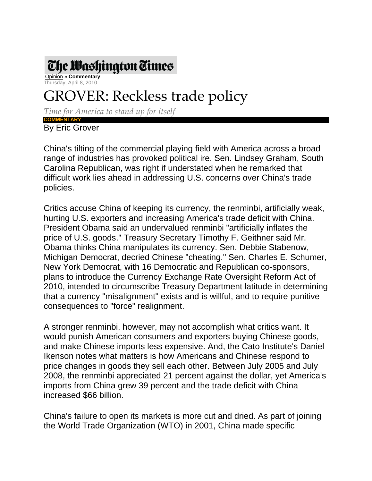

 Opinion » **Commentary** Thursday, April 8, 2010

## GROVER: Reckless trade policy

*Time for America to stand up for itself*

**COMMENTARY**  By Eric Grover

China's tilting of the commercial playing field with America across a broad range of industries has provoked political ire. Sen. Lindsey Graham, South Carolina Republican, was right if understated when he remarked that difficult work lies ahead in addressing U.S. concerns over China's trade policies.

Critics accuse China of keeping its currency, the renminbi, artificially weak, hurting U.S. exporters and increasing America's trade deficit with China. President Obama said an undervalued renminbi "artificially inflates the price of U.S. goods." Treasury Secretary Timothy F. Geithner said Mr. Obama thinks China manipulates its currency. Sen. Debbie Stabenow, Michigan Democrat, decried Chinese "cheating." Sen. Charles E. Schumer, New York Democrat, with 16 Democratic and Republican co-sponsors, plans to introduce the Currency Exchange Rate Oversight Reform Act of 2010, intended to circumscribe Treasury Department latitude in determining that a currency "misalignment" exists and is willful, and to require punitive consequences to "force" realignment.

A stronger renminbi, however, may not accomplish what critics want. It would punish American consumers and exporters buying Chinese goods, and make Chinese imports less expensive. And, the Cato Institute's Daniel Ikenson notes what matters is how Americans and Chinese respond to price changes in goods they sell each other. Between July 2005 and July 2008, the renminbi appreciated 21 percent against the dollar, yet America's imports from China grew 39 percent and the trade deficit with China increased \$66 billion.

China's failure to open its markets is more cut and dried. As part of joining the World Trade Organization (WTO) in 2001, China made specific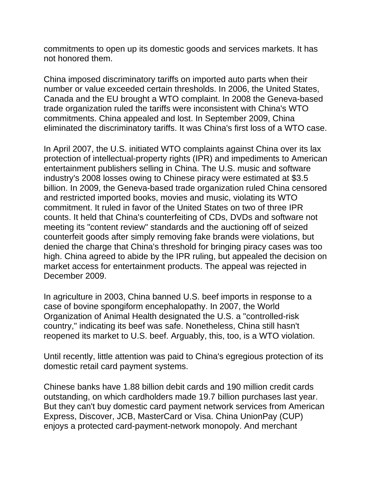commitments to open up its domestic goods and services markets. It has not honored them.

China imposed discriminatory tariffs on imported auto parts when their number or value exceeded certain thresholds. In 2006, the United States, Canada and the EU brought a WTO complaint. In 2008 the Geneva-based trade organization ruled the tariffs were inconsistent with China's WTO commitments. China appealed and lost. In September 2009, China eliminated the discriminatory tariffs. It was China's first loss of a WTO case.

In April 2007, the U.S. initiated WTO complaints against China over its lax protection of intellectual-property rights (IPR) and impediments to American entertainment publishers selling in China. The U.S. music and software industry's 2008 losses owing to Chinese piracy were estimated at \$3.5 billion. In 2009, the Geneva-based trade organization ruled China censored and restricted imported books, movies and music, violating its WTO commitment. It ruled in favor of the United States on two of three IPR counts. It held that China's counterfeiting of CDs, DVDs and software not meeting its "content review" standards and the auctioning off of seized counterfeit goods after simply removing fake brands were violations, but denied the charge that China's threshold for bringing piracy cases was too high. China agreed to abide by the IPR ruling, but appealed the decision on market access for entertainment products. The appeal was rejected in December 2009.

In agriculture in 2003, China banned U.S. beef imports in response to a case of bovine spongiform encephalopathy. In 2007, the World Organization of Animal Health designated the U.S. a "controlled-risk country," indicating its beef was safe. Nonetheless, China still hasn't reopened its market to U.S. beef. Arguably, this, too, is a WTO violation.

Until recently, little attention was paid to China's egregious protection of its domestic retail card payment systems.

Chinese banks have 1.88 billion debit cards and 190 million credit cards outstanding, on which cardholders made 19.7 billion purchases last year. But they can't buy domestic card payment network services from American Express, Discover, JCB, MasterCard or Visa. China UnionPay (CUP) enjoys a protected card-payment-network monopoly. And merchant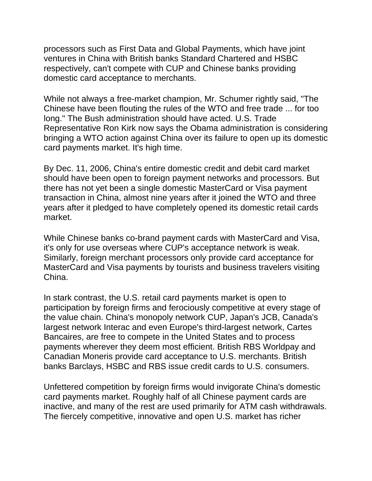processors such as First Data and Global Payments, which have joint ventures in China with British banks Standard Chartered and HSBC respectively, can't compete with CUP and Chinese banks providing domestic card acceptance to merchants.

While not always a free-market champion, Mr. Schumer rightly said, "The Chinese have been flouting the rules of the WTO and free trade ... for too long." The Bush administration should have acted. U.S. Trade Representative Ron Kirk now says the Obama administration is considering bringing a WTO action against China over its failure to open up its domestic card payments market. It's high time.

By Dec. 11, 2006, China's entire domestic credit and debit card market should have been open to foreign payment networks and processors. But there has not yet been a single domestic MasterCard or Visa payment transaction in China, almost nine years after it joined the WTO and three years after it pledged to have completely opened its domestic retail cards market.

While Chinese banks co-brand payment cards with MasterCard and Visa, it's only for use overseas where CUP's acceptance network is weak. Similarly, foreign merchant processors only provide card acceptance for MasterCard and Visa payments by tourists and business travelers visiting China.

In stark contrast, the U.S. retail card payments market is open to participation by foreign firms and ferociously competitive at every stage of the value chain. China's monopoly network CUP, Japan's JCB, Canada's largest network Interac and even Europe's third-largest network, Cartes Bancaires, are free to compete in the United States and to process payments wherever they deem most efficient. British RBS Worldpay and Canadian Moneris provide card acceptance to U.S. merchants. British banks Barclays, HSBC and RBS issue credit cards to U.S. consumers.

Unfettered competition by foreign firms would invigorate China's domestic card payments market. Roughly half of all Chinese payment cards are inactive, and many of the rest are used primarily for ATM cash withdrawals. The fiercely competitive, innovative and open U.S. market has richer